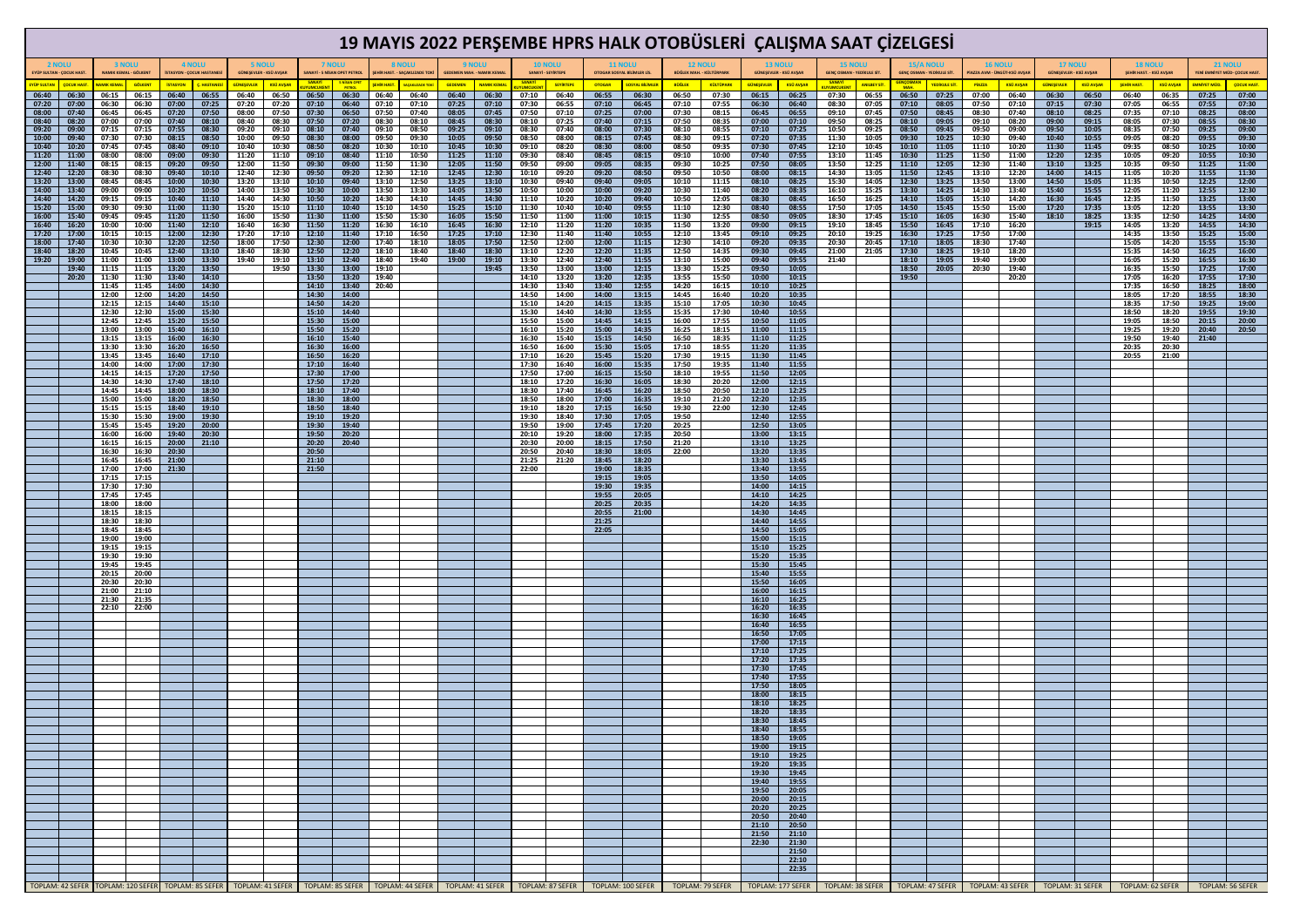|                                           |                |                         |                              |                                            |                         |                           |                                         |                |                                               |                |                                                                                                     |                         |                           |                        |                                      |                        |                                               |                                                                                                                                                                                                                                |                                            |                            |                                          | 19 MAYIS 2022 PERŞEMBE HPRS HALK OTOBÜSLERİ ÇALIŞMA SAAT ÇİZELGESİ |                            |                |                                                       |                                                |                           |                                          |                                                                           |                                           |                           |                                 |                               |
|-------------------------------------------|----------------|-------------------------|------------------------------|--------------------------------------------|-------------------------|---------------------------|-----------------------------------------|----------------|-----------------------------------------------|----------------|-----------------------------------------------------------------------------------------------------|-------------------------|---------------------------|------------------------|--------------------------------------|------------------------|-----------------------------------------------|--------------------------------------------------------------------------------------------------------------------------------------------------------------------------------------------------------------------------------|--------------------------------------------|----------------------------|------------------------------------------|--------------------------------------------------------------------|----------------------------|----------------|-------------------------------------------------------|------------------------------------------------|---------------------------|------------------------------------------|---------------------------------------------------------------------------|-------------------------------------------|---------------------------|---------------------------------|-------------------------------|
| <b>2 NOLU</b><br>EYÜP SULTAN - ÇOCUK HASI |                | <b>3 NOLU</b>           | <b>NAMIK KEMAL - GÖLKENT</b> | 4 NOLU<br><b>ISTASYON - ÇOCUK HASTANES</b> |                         |                           | <b>5 NOLU</b><br>GÜNEŞEVLER - KSÜ AVŞAR |                | 7 NOLU<br><b>SANAYİ - 5 NİSAN OPET PETROJ</b> |                | 8 NOLU<br><b>9 NOLU</b><br><b>ŞEHİR HAST. - SAÇAKLIZADE TOK</b><br><b>GEDEMEN MAH. - NAMIK KEMA</b> |                         |                           |                        | <b>10 NOLU</b><br>SANAYİ - SEYİRTEPE |                        | <b>11 NOLU</b><br>OTOGAR SOSYAL BİLİMLER LİS. |                                                                                                                                                                                                                                | <b>12 NOLU</b><br>BÜĞLEK MAH. - KÜLTÜRPARK |                            | <b>13 NOLU</b><br>GÜNEŞEVLER - KSÜ AVŞAR | <b>15 NOLU</b>                                                     | GENÇ OSMAN - YEDİKULE SİT. |                | <b>15/A NOLU</b><br><b>GENÇ OSMAN - YEDİKULE SİT.</b> | <b>16 NOLU</b><br>PİAZZA AVM - ÜNGÜT-KSÜ AVŞAR |                           | <b>17 NOLU</b><br>GÜNEŞEVLER - KSÜ AVŞAR |                                                                           | <b>18 NOLU</b><br>ŞEHİR HAST. - KSÜ AVŞAF |                           | <b>21 NOLU</b>                  | YENİ EMNİYET MÜD- ÇOCUK HAST. |
| <b>ÜP SULTAN</b><br>06:40                 | 06:30          | <b>MIK KEM</b><br>06:15 | <b>GÖLKEN1</b><br>06:15      | <b>STASYON</b><br>06:40                    | <b>HASTANE</b><br>06:55 | <b>SÜNESEVLE</b><br>06:40 | <b>KSÜ AVŞAR</b><br>06:50               | 06:50          | NISAN OF<br>06:30                             | 06:40          | 06:40                                                                                               | <b>SEDEMEN</b><br>06:40 | <b>NAMIK KEM</b><br>06:30 | <u>SANAYI</u><br>07:10 | <b>SEYİRTEPI</b><br>06:40            | <b>OTOGAR</b><br>06:55 | <mark>SYAL BİLİMLE</mark><br>06:30            | <b>BÜĞLEK</b><br>06:50                                                                                                                                                                                                         | <b>KÜLTÜPARK</b><br>07:30                  | <b>SÜNEŞEVLER</b><br>06:15 | <b>KSÜ AVŞAR</b><br>06:25                | <b>SANAY</b><br>07:30                                              | ANILBEY SİT<br>06:55       | 06:50          | <mark>'EDİKULE Sİ1</mark><br>07:25                    | <b>PIAZZ</b><br>07:00                          | <b>KSÜ AVŞAR</b><br>06:40 | <b>GÜNESEVLER</b><br>06:30               | <b>KSÜ AVŞAR</b><br>06:50                                                 | <b>SEHİR HAST</b><br>06:40                | <b>KSÜ AVSAR</b><br>06:35 | <mark>MNİYET MÜ</mark><br>07:25 | <b>COCUK HAST.</b><br>07:00   |
| 07:20<br>08:00                            | 07:00<br>07:40 | 06:30<br>06:45          | 06:30<br>06:45               | 07:00<br>07:20                             | 07:25<br>07:50          | 07:20<br>08:00            | 07:20<br>07:50                          | 07:10<br>07:30 | 06:40<br>06:50                                | 07:10<br>07:50 | 07:10<br>07:40                                                                                      | 07:25<br>08:05          | 07:10<br>07:45            | 07:30<br>07:50         | 06:55<br>07:10                       | 07:10<br>07:25         | 06:45<br>07:00                                | 07:10<br>07:30                                                                                                                                                                                                                 | 07:55<br>08:15                             | 06:30<br>06:45             | 06:40<br>06:55                           | 08:30<br>09:10                                                     | 07:05<br>07:45             | 07:10<br>07:50 | 08:05<br>08:45                                        | 07:50<br>08:30                                 | 07:10<br>07:40            | 07:15<br>08:10                           | 07:30<br>08:25                                                            | 07:05<br>07:35                            | 06:55<br>07:10            | 07:55<br>08:25                  | 07:30<br>08:00                |
| 08:40<br>09:20                            | 08:20<br>09:00 | 07:00<br>07:15          | 07:00<br>07:15               | 07:40<br>07:55                             | 08:10<br>08:30          | 08:40<br>09:20            | 08:30<br>09:10                          | 07:50<br>08:10 | 07:20<br>07:40                                | 08:30<br>09:10 | 08:10<br>08:50                                                                                      | 08:45<br>09:25          | 08:30<br>09:10            | 08:10<br>08:30         | 07:25<br>07:40                       | 07:40<br>08:00         | 07:15<br>07:30                                | 07:50<br>08:10                                                                                                                                                                                                                 | 08:35<br>08:55                             | 07:00<br>07:10             | 07:10<br>07:25                           | 09:50<br>10:50                                                     | 08:25<br>09:25             | 08:10<br>08:50 | 09:05<br>09:45                                        | 09:10<br>09:50                                 | 08:20<br>09:00            | 09:00<br>09:50                           | 09:15<br>10:05                                                            | 08:05<br>08:35                            | 07:30<br>07:50            | 08:55<br>09:25                  | 08:30<br>09:00                |
| 10:00<br>10:40                            | 09:40<br>10:20 | 07:30<br>07:45          | 07:30<br>07:45               | 08:15<br>08:40                             | 08:50<br>09:10          | 10:00<br>10:40            | 09:50<br>10:30                          | 08:30<br>08:50 | 08:00<br>08:20                                | 09:50<br>10:30 | 09:30<br>10:10                                                                                      | 10:05<br>10:45          | 09:50<br>10:30            | 08:50<br>09:10         | 08:00<br>08:20                       | 08:15<br>08:30         | 07:45<br>08:00                                | 08:30<br>08:50                                                                                                                                                                                                                 | 09:15<br>09:35                             | 07:20<br>07:30             | 07:35<br>07:45                           | 11:30<br>12:10                                                     | 10:05<br>10:45             | 09:30<br>10:10 | 10:25<br>11:05                                        | 10:30<br>11:10                                 | 09:40<br>10:20            | 10:40<br>11:30                           | 10:55<br>11:45                                                            | 09:05<br>09:35                            | 08:20<br>08:50            | 09:55<br>10:25                  | 09:30<br>10:00                |
| 11:20<br>12:00                            | 11:00<br>11:40 | 08:00<br>08:15          | 08:00<br>08:15               | 09:00<br>09:20                             | 09:30<br>09:50          | 11:20<br>12:00            | 11:10<br>11:50                          | 09:10<br>09:30 | 08:40<br>09:00                                | 11:10<br>11:50 | 10:50<br>11:30                                                                                      | 11:25<br>12:05          | 11:10<br>11:50            | 09:30<br>09:50         | 08:40<br>09:00                       | 08:45<br>09:05         | 08:15<br>08:35                                | 09:10<br>09:30                                                                                                                                                                                                                 | 10:00<br>10:25                             | 07:40<br>07:50             | 07:55<br>08:05                           | 13:10<br>13:50                                                     | 11:45<br>12:25             | 10:30<br>11:10 | 11:25<br>12:05                                        | 11:50<br>12:30                                 | 11:00<br>11:40            | 12:20<br>13:10                           | 12:35<br>13:25                                                            | 10:05<br>10:35                            | 09:20<br>09:50            | 10:55<br>11:25                  | 10:30<br>11:00                |
| 12:40                                     | 12:20          | 08:30                   | 08:30                        | 09:40                                      | 10:10                   | 12:40                     | 12:30                                   | 09:50          | 09:20                                         | 12:30          | 12:10                                                                                               | 12:45                   | 12:30                     | 10:10                  | 09:20                                | 09:20                  | 08:50                                         | 09:50                                                                                                                                                                                                                          | 10:50                                      | 08:00                      | 08:15                                    | 14:30                                                              | 13:05                      | 11:50          | 12:45                                                 | 13:10                                          | 12:20                     | 14:00                                    | 14:15                                                                     | 11:05                                     | 10:20                     | 11:55                           | 11:30                         |
| 13:20<br>14:00                            | 13:00<br>13:40 | 08:45<br>09:00          | 08:45<br>09:00               | 10:00<br>10:20                             | 10:30<br>10:50          | 13:20<br>14:00            | 13:10<br>13:50                          | 10:10<br>10:30 | 09:40<br>10:00                                | 13:10<br>13:50 | 12:50<br>13:30                                                                                      | 13:25<br>14:05          | 13:10<br>13:50            | 10:30<br>10:50         | 09:40<br>10:00                       | 09:40<br>10:00         | 09:05<br>09:20                                | 10:10<br>10:30                                                                                                                                                                                                                 | 11:15<br>11:40                             | 08:10<br>08:20             | 08:25<br>08:35                           | 15:30<br>16:10                                                     | 14:05<br>15:25             | 12:30<br>13:30 | 13:25<br>14:25                                        | 13:50<br>14:30                                 | 13:00<br>13:40            | 14:50<br>15:40                           | 15:05<br>15:55                                                            | 11:35<br>12:05                            | 10:50<br>11:20            | 12:25<br>12:55                  | 12:00<br>12:30                |
| 14:40<br>15:20                            | 14:20<br>15:00 | 09:15<br>09:30          | 09:15<br>09:30               | 10:40<br>11:00                             | 11:10<br>11:30          | 14:40<br>15:20            | 14:30<br>15:10                          | 10:50<br>11:10 | 10:20<br>10:40                                | 14:30<br>15:10 | 14:10<br>14:50                                                                                      | 14:45<br>15:25          | 14:30<br>15:10            | 11:10<br>11:30         | 10:20<br>10:40                       | 10:20<br>10:40         | 09:40<br>09:55                                | 10:50<br>11:10                                                                                                                                                                                                                 | 12:05<br>12:30                             | 08:30<br>08:40             | 08:45<br>08:55                           | 16:50<br>17:50                                                     | 16:25<br>17:05             | 14:10<br>14:50 | 15:05<br>15:45                                        | 15:10<br>15:50                                 | 14:20<br>15:00            | 16:30<br>17:20                           | 16:45<br>17:35                                                            | 12:35<br>13:05                            | 11:50<br>12:20            | 13:25<br>13:55                  | 13:00<br>13:30                |
| 16:00<br>16:40                            | 15:40<br>16:20 | 09:45<br>10:00          | 09:45<br>10:00               | 11:20<br>11:40                             | 11:50<br>12:10          | 16:00<br>16:40            | 15:50<br>16:30                          | 11:30<br>11:50 | 11:00<br>11:20                                | 15:50<br>16:30 | 15:30<br>16:10                                                                                      | 16:05<br>16:45          | 15:50<br>16:30            | 11:50<br>12:10         | 11:00<br>11:20                       | 11:00<br>11:20         | 10:15<br>10:35                                | 11:30<br>11:50                                                                                                                                                                                                                 | 12:55<br>13:20                             | 08:50<br>09:00             | 09:05<br>09:15                           | 18:30<br>19:10                                                     | 17:45<br>18:45             | 15:10<br>15:50 | 16:05<br>16:45                                        | 16:30<br>17:10                                 | 15:40<br>16:20            | 18:10                                    | 18:25<br>19:15                                                            | 13:35<br>14:05                            | 12:50<br>13:20            | 14:25<br>14:55                  | 14:00<br>14:30                |
| 17:20<br>18:00                            | 17:00<br>17:40 | 10:15<br>10:30          | 10:15<br>10:30               | 12:00<br>12:20                             | 12:30<br>12:50          | 17:20<br>18:00            | 17:10<br>17:50                          | 12:10<br>12:30 | 11:40<br>12:00                                | 17:10<br>17:40 | 16:50<br>18:10                                                                                      | 17:25<br>18:05          | 17:10<br>17:50            | 12:30<br>12:50         | 11:40<br>12:00                       | 11:40<br>12:00         | 10:55<br>11:15                                | 12:10<br>12:30                                                                                                                                                                                                                 | 13:45<br>14:10                             | 09:10<br>09:20             | 09:25<br>09:35                           | 20:10<br>20:30                                                     | 19:25<br>20:45             | 16:30<br>17:10 | 17:25<br>18:05                                        | 17:50<br>18:30                                 | 17:00<br>17:40            |                                          |                                                                           | 14:35<br>15:05                            | 13:50<br>14:20            | 15:25<br>15:55                  | 15:00<br>15:30                |
| 18:40                                     | 18:20          | 10:45                   | 10:45                        | 12:40                                      | 13:10                   | 18:40                     | 18:30                                   | 12:50          | 12:20                                         | 18:10          | 18:40                                                                                               | 18:40                   | 18:30                     | 13:10                  | 12:20                                | 12:20                  | 11:35                                         | 12:50                                                                                                                                                                                                                          | 14:35                                      | 09:30                      | 09:45                                    | 21:00                                                              | 21:05                      | 17:30          | 18:25                                                 | 19:10                                          | 18:20                     |                                          |                                                                           | 15:35                                     | 14:50                     | 16:25                           | 16:00                         |
| 19:20                                     | 19:00<br>19:40 | 11:00<br>11:15          | 11:00<br>11:15               | 13:00<br>13:20                             | 13:30<br>13:50          | 19:40                     | 19:10<br>19:50                          | 13:10<br>13:30 | 12:40<br>13:00                                | 18:40<br>19:10 | 19:40                                                                                               | 19:00                   | 19:10<br>19:45            | 13:30<br>13:50         | 12:40<br>13:00                       | 12:40<br>13:00         | 11:55<br>12:15                                | 13:10<br>13:30                                                                                                                                                                                                                 | 15:00<br>15:25                             | 09:40<br>09:50             | 09:55<br>10:05                           | 21:40                                                              |                            | 18:10<br>18:50 | 19:05<br>20:05                                        | 19:40<br>20:30                                 | 19:00<br>19:40            |                                          |                                                                           | 16:05<br>16:35                            | 15:20<br>15:50            | 16:55<br>17:25                  | 16:30<br>17:00                |
|                                           | 20:20          | 11:30<br>11:45          | 11:30<br>11:45               | 13:40<br>14:00                             | 14:10<br>14:30          |                           |                                         | 13:50<br>14:10 | 13:20<br>13:40                                | 19:40<br>20:40 |                                                                                                     |                         |                           | 14:10<br>14:30         | 13:20<br>13:40                       | 13:20<br>13:40         | 12:35<br>12:55                                | 13:55<br>14:20                                                                                                                                                                                                                 | 15:50<br>16:15                             | 10:00<br>10:10             | 10:15<br>10:25                           |                                                                    |                            | 19:50          |                                                       |                                                | 20:20                     |                                          |                                                                           | 17:05<br>17:35                            | 16:20<br>16:50            | 17:55<br>18:25                  | 17:30<br>18:00                |
|                                           |                | 12:00<br>12:15          | 12:00<br>12:15               | 14:20<br>14:40                             | 14:50<br>15:10          |                           |                                         | 14:30<br>14:50 | 14:00<br>14:20                                |                |                                                                                                     |                         |                           | 14:50<br>15:10         | 14:00<br>14:20                       | 14:00<br>14:15         | 13:15<br>13:35                                | 14:45<br>15:10                                                                                                                                                                                                                 | 16:40<br>17:05                             | 10:20<br>10:30             | 10:35<br>10:45                           |                                                                    |                            |                |                                                       |                                                |                           |                                          |                                                                           | 18:05<br>18:35                            | 17:20<br>17:50            | 18:55<br>19:25                  | 18:30<br>19:00                |
|                                           |                | 12:30                   | 12:30                        | 15:00                                      | 15:30                   |                           |                                         | 15:10          | 14:40                                         |                |                                                                                                     |                         |                           | 15:30                  | 14:40                                | 14:30                  | 13:55                                         | 15:35                                                                                                                                                                                                                          | 17:30                                      | 10:40                      | 10:55                                    |                                                                    |                            |                |                                                       |                                                |                           |                                          |                                                                           | 18:50                                     | 18:20                     | 19:55                           | 19:30                         |
|                                           |                | 12:45<br>13:00          | 12:45<br>13:00               | 15:20<br>15:40                             | 15:50<br>16:10          |                           |                                         | 15:30<br>15:50 | 15:00<br>15:20                                |                |                                                                                                     |                         |                           | 15:50<br>16:10         | 15:00<br>15:20                       | 14:45<br>15:00         | 14:15<br>14:35                                | 16:00<br>16:25                                                                                                                                                                                                                 | 17:55<br>18:15                             | 10:50<br>11:00             | 11:05<br>11:15                           |                                                                    |                            |                |                                                       |                                                |                           |                                          |                                                                           | 19:05<br>19:25                            | 18:50<br>19:20            | 20:15<br>20:40                  | 20:00<br>20:50                |
|                                           |                | 13:15<br>13:30          | 13:15<br>13:30               | 16:00<br>16:20                             | 16:30<br>16:50          |                           |                                         | 16:10<br>16:30 | 15:40<br>16:00                                |                |                                                                                                     |                         |                           | 16:30<br>16:50         | 15:40<br>16:00                       | 15:15<br>15:30         | 14:50<br>15:05                                | 16:50<br>17:10                                                                                                                                                                                                                 | 18:35<br>18:55                             | 11:10<br>11:20             | 11:25<br>11:35                           |                                                                    |                            |                |                                                       |                                                |                           |                                          |                                                                           | 19:50<br>20:35                            | 19:40<br>20:30            | 21:40                           |                               |
|                                           |                | 13:45<br>14:00          | 13:45<br>14:00               | 16:40<br>17:00                             | 17:10<br>17:30          |                           |                                         | 16:50<br>17:10 | 16:20<br>16:40                                |                |                                                                                                     |                         |                           | 17:10<br>17:30         | 16:20<br>16:40                       | 15:45<br>16:00         | 15:20<br>15:35                                | 17:30<br>17:50                                                                                                                                                                                                                 | 19:15<br>19:35                             | 11:30<br>11:40             | 11:45<br>11:55                           |                                                                    |                            |                |                                                       |                                                |                           |                                          |                                                                           | 20:55                                     | 21:00                     |                                 |                               |
|                                           |                | 14:15<br>14:30          | 14:15<br>14:30               | 17:20<br>17:40                             | 17:50<br>18:10          |                           |                                         | 17:30<br>17:50 | 17:00<br>17:20                                |                |                                                                                                     |                         |                           | 17:50<br>18:10         | 17:00<br>17:20                       | 16:15<br>16:30         | 15:50<br>16:05                                | 18:10<br>18:30                                                                                                                                                                                                                 | 19:55<br>20:20                             | 11:50<br>12:00             | 12:05<br>12:15                           |                                                                    |                            |                |                                                       |                                                |                           |                                          |                                                                           |                                           |                           |                                 |                               |
|                                           |                | 14:45                   | 14:45                        | 18:00                                      | 18:30                   |                           |                                         | 18:10<br>18:30 | 17:40<br>18:00                                |                |                                                                                                     |                         |                           | 18:30                  | 17:40                                | 16:45                  | 16:20                                         | 18:50<br>19:10                                                                                                                                                                                                                 | 20:50                                      | 12:10                      | 12:25                                    |                                                                    |                            |                |                                                       |                                                |                           |                                          |                                                                           |                                           |                           |                                 |                               |
|                                           |                | 15:00<br>15:15          | 15:00<br>15:15               | 18:20<br>18:40                             | 18:50<br>19:10          |                           |                                         | 18:50          | 18:40                                         |                |                                                                                                     |                         |                           | 18:50<br>19:10         | 18:00<br>18:20                       | 17:00<br>17:15         | 16:35<br>16:50                                | 19:30                                                                                                                                                                                                                          | 21:20<br>22:00                             | 12:20<br>12:30             | 12:35<br>12:45                           |                                                                    |                            |                |                                                       |                                                |                           |                                          |                                                                           |                                           |                           |                                 |                               |
|                                           |                | 15:30<br>15:45          | 15:30<br>15:45               | 19:00<br>19:20                             | 19:30<br>20:00          |                           |                                         | 19:10<br>19:30 | 19:20<br>19:40                                |                |                                                                                                     |                         |                           | 19:30<br>19:50         | 18:40<br>19:00                       | 17:30<br>17:45         | 17:05<br>17:20                                | 19:50<br>20:25                                                                                                                                                                                                                 |                                            | 12:40<br>12:50             | 12:55<br>13:05                           |                                                                    |                            |                |                                                       |                                                |                           |                                          |                                                                           |                                           |                           |                                 |                               |
|                                           |                | 16:00<br>16:15          | 16:00<br>16:15               | 19:40<br>20:00                             | 20:30<br>21:10          |                           |                                         | 19:50<br>20:20 | 20:20<br>20:40                                |                |                                                                                                     |                         |                           | 20:10<br>20:30         | 19:20<br>20:00                       | 18:00<br>18:15         | 17:35<br>17:50                                | 20:50<br>21:20                                                                                                                                                                                                                 |                                            | 13:00<br>13:10             | 13:15<br>13:25                           |                                                                    |                            |                |                                                       |                                                |                           |                                          |                                                                           |                                           |                           |                                 |                               |
|                                           |                | 16:30<br>16:45          | 16:30<br>16:45               | 20:30<br>21:00                             |                         |                           |                                         | 20:50<br>21:10 |                                               |                |                                                                                                     |                         |                           | 20:50<br>21:25         | 20:40<br>21:20                       | 18:30<br>18:45         | 18:05<br>18:20                                | 22:00                                                                                                                                                                                                                          |                                            | 13:20<br>13:30             | 13:35<br>13:45                           |                                                                    |                            |                |                                                       |                                                |                           |                                          |                                                                           |                                           |                           |                                 |                               |
|                                           |                | 17:00                   | 17:00<br>17:15               | 21:30                                      |                         |                           |                                         | 21:50          |                                               |                |                                                                                                     |                         |                           | 22:00                  |                                      | 19:00<br>19:15         | 18:35<br>19:05                                |                                                                                                                                                                                                                                |                                            | 13:40<br>13:50             | 13:55<br>14:05                           |                                                                    |                            |                |                                                       |                                                |                           |                                          |                                                                           |                                           |                           |                                 |                               |
|                                           |                | 17:15<br>17:30          | 17:30                        |                                            |                         |                           |                                         |                |                                               |                |                                                                                                     |                         |                           |                        |                                      | 19:30                  | 19:35                                         |                                                                                                                                                                                                                                |                                            | 14:00                      | 14:15                                    |                                                                    |                            |                |                                                       |                                                |                           |                                          |                                                                           |                                           |                           |                                 |                               |
|                                           |                | 17:45<br>18:00          | 17:45<br>18:00               |                                            |                         |                           |                                         |                |                                               |                |                                                                                                     |                         |                           |                        |                                      | 19:55<br>20:25         | 20:05<br>20:35                                |                                                                                                                                                                                                                                |                                            | 14:10<br>14:20             | 14:25<br>14:35                           |                                                                    |                            |                |                                                       |                                                |                           |                                          |                                                                           |                                           |                           |                                 |                               |
|                                           |                | 18:15<br>18:30          | 18:15<br>18:30               |                                            |                         |                           |                                         |                |                                               |                |                                                                                                     |                         |                           |                        |                                      | 20:55<br>21:25         | 21:00                                         |                                                                                                                                                                                                                                |                                            | 14:30<br>14:40             | 14:45<br>14:55                           |                                                                    |                            |                |                                                       |                                                |                           |                                          |                                                                           |                                           |                           |                                 |                               |
|                                           |                | 18:45<br>19:00          | 18:45<br>19:00               |                                            |                         |                           |                                         |                |                                               |                |                                                                                                     |                         |                           |                        |                                      | 22:05                  |                                               |                                                                                                                                                                                                                                |                                            | 14:50<br>15:00             | 15:05<br>15:15                           |                                                                    |                            |                |                                                       |                                                |                           |                                          |                                                                           |                                           |                           |                                 |                               |
|                                           |                | 19:15<br>19:30          | 19:15<br>19:30               |                                            |                         |                           |                                         |                |                                               |                |                                                                                                     |                         |                           |                        |                                      |                        |                                               |                                                                                                                                                                                                                                |                                            | 15:10<br>15:20             | 15:25<br>15:35                           |                                                                    |                            |                |                                                       |                                                |                           |                                          |                                                                           |                                           |                           |                                 |                               |
|                                           |                | 19:45                   | 19:45                        |                                            |                         |                           |                                         |                |                                               |                |                                                                                                     |                         |                           |                        |                                      |                        |                                               |                                                                                                                                                                                                                                |                                            | 15:30                      | 15:45                                    |                                                                    |                            |                |                                                       |                                                |                           |                                          |                                                                           |                                           |                           |                                 |                               |
|                                           |                | 20:15<br>20:30          | 20:00<br>20:30               |                                            |                         |                           |                                         |                |                                               |                |                                                                                                     |                         |                           |                        |                                      |                        |                                               |                                                                                                                                                                                                                                |                                            | 15:40<br>15:50             | 15:55<br>16:05                           |                                                                    |                            |                |                                                       |                                                |                           |                                          |                                                                           |                                           |                           |                                 |                               |
|                                           |                | 21:00<br>21:30          | 21:10<br>21:35               |                                            |                         |                           |                                         |                |                                               |                |                                                                                                     |                         |                           |                        |                                      |                        |                                               |                                                                                                                                                                                                                                |                                            | 16:00<br>16:10             | 16:15<br>16:25                           |                                                                    |                            |                |                                                       |                                                |                           |                                          |                                                                           |                                           |                           |                                 |                               |
|                                           |                | 22:10                   | 22:00                        |                                            |                         |                           |                                         |                |                                               |                |                                                                                                     |                         |                           |                        |                                      |                        |                                               |                                                                                                                                                                                                                                |                                            | 16:20<br>16:30             | 16:35<br>16:45                           |                                                                    |                            |                |                                                       |                                                |                           |                                          |                                                                           |                                           |                           |                                 |                               |
|                                           |                |                         |                              |                                            |                         |                           |                                         |                |                                               |                |                                                                                                     |                         |                           |                        |                                      |                        |                                               |                                                                                                                                                                                                                                |                                            | 16:40<br>16:50             | 16:55<br>17:05                           |                                                                    |                            |                |                                                       |                                                |                           |                                          |                                                                           |                                           |                           |                                 |                               |
|                                           |                |                         |                              |                                            |                         |                           |                                         |                |                                               |                |                                                                                                     |                         |                           |                        |                                      |                        |                                               |                                                                                                                                                                                                                                |                                            | 17:00<br>17:10             | 17:15<br>17:25                           |                                                                    |                            |                |                                                       |                                                |                           |                                          |                                                                           |                                           |                           |                                 |                               |
|                                           |                |                         |                              |                                            |                         |                           |                                         |                |                                               |                |                                                                                                     |                         |                           |                        |                                      |                        |                                               |                                                                                                                                                                                                                                |                                            | 17:20                      | 17:35                                    |                                                                    |                            |                |                                                       |                                                |                           |                                          |                                                                           |                                           |                           |                                 |                               |
|                                           |                |                         |                              |                                            |                         |                           |                                         |                |                                               |                |                                                                                                     |                         |                           |                        |                                      |                        |                                               |                                                                                                                                                                                                                                |                                            | 17:30<br>17:40             | 17:45<br>17:55                           |                                                                    |                            |                |                                                       |                                                |                           |                                          |                                                                           |                                           |                           |                                 |                               |
|                                           |                |                         |                              |                                            |                         |                           |                                         |                |                                               |                |                                                                                                     |                         |                           |                        |                                      |                        |                                               |                                                                                                                                                                                                                                |                                            | 17:50<br>18:00             | 18:05<br>18:15                           |                                                                    |                            |                |                                                       |                                                |                           |                                          |                                                                           |                                           |                           |                                 |                               |
|                                           |                |                         |                              |                                            |                         |                           |                                         |                |                                               |                |                                                                                                     |                         |                           |                        |                                      |                        |                                               |                                                                                                                                                                                                                                |                                            | 18:10<br>18:20             | 18:25<br>18:35                           |                                                                    |                            |                |                                                       |                                                |                           |                                          |                                                                           |                                           |                           |                                 |                               |
|                                           |                |                         |                              |                                            |                         |                           |                                         |                |                                               |                |                                                                                                     |                         |                           |                        |                                      |                        |                                               |                                                                                                                                                                                                                                |                                            | 18:30<br>18:40             | 18:45<br>18:55                           |                                                                    |                            |                |                                                       |                                                |                           |                                          |                                                                           |                                           |                           |                                 |                               |
|                                           |                |                         |                              |                                            |                         |                           |                                         |                |                                               |                |                                                                                                     |                         |                           |                        |                                      |                        |                                               |                                                                                                                                                                                                                                |                                            | 18:50                      | 19:05                                    |                                                                    |                            |                |                                                       |                                                |                           |                                          |                                                                           |                                           |                           |                                 |                               |
|                                           |                |                         |                              |                                            |                         |                           |                                         |                |                                               |                |                                                                                                     |                         |                           |                        |                                      |                        |                                               |                                                                                                                                                                                                                                |                                            | 19:00<br>19:10             | 19:15<br>19:25                           |                                                                    |                            |                |                                                       |                                                |                           |                                          |                                                                           |                                           |                           |                                 |                               |
|                                           |                |                         |                              |                                            |                         |                           |                                         |                |                                               |                |                                                                                                     |                         |                           |                        |                                      |                        |                                               |                                                                                                                                                                                                                                |                                            | 19:20<br>19:30             | 19:35<br>19:45                           |                                                                    |                            |                |                                                       |                                                |                           |                                          |                                                                           |                                           |                           |                                 |                               |
|                                           |                |                         |                              |                                            |                         |                           |                                         |                |                                               |                |                                                                                                     |                         |                           |                        |                                      |                        |                                               |                                                                                                                                                                                                                                |                                            | 19:40<br>19:50             | 19:55<br>20:05                           |                                                                    |                            |                |                                                       |                                                |                           |                                          |                                                                           |                                           |                           |                                 |                               |
|                                           |                |                         |                              |                                            |                         |                           |                                         |                |                                               |                |                                                                                                     |                         |                           |                        |                                      |                        |                                               |                                                                                                                                                                                                                                |                                            | 20:00<br>20:20             | 20:15<br>20:25                           |                                                                    |                            |                |                                                       |                                                |                           |                                          |                                                                           |                                           |                           |                                 |                               |
|                                           |                |                         |                              |                                            |                         |                           |                                         |                |                                               |                |                                                                                                     |                         |                           |                        |                                      |                        |                                               |                                                                                                                                                                                                                                |                                            | 20:50<br>21:10             | 20:40<br>20:50                           |                                                                    |                            |                |                                                       |                                                |                           |                                          |                                                                           |                                           |                           |                                 |                               |
|                                           |                |                         |                              |                                            |                         |                           |                                         |                |                                               |                |                                                                                                     |                         |                           |                        |                                      |                        |                                               |                                                                                                                                                                                                                                |                                            | 21:50                      | 21:10                                    |                                                                    |                            |                |                                                       |                                                |                           |                                          |                                                                           |                                           |                           |                                 |                               |
|                                           |                |                         |                              |                                            |                         |                           |                                         |                |                                               |                |                                                                                                     |                         |                           |                        |                                      |                        |                                               |                                                                                                                                                                                                                                |                                            | 22:30                      | 21:30<br>21:50                           |                                                                    |                            |                |                                                       |                                                |                           |                                          |                                                                           |                                           |                           |                                 |                               |
|                                           |                |                         |                              |                                            |                         |                           |                                         |                |                                               |                |                                                                                                     |                         |                           |                        |                                      |                        |                                               |                                                                                                                                                                                                                                |                                            |                            | 22:10<br>22:35                           |                                                                    |                            |                |                                                       |                                                |                           |                                          |                                                                           |                                           |                           |                                 |                               |
|                                           |                |                         |                              |                                            |                         |                           |                                         |                |                                               |                |                                                                                                     |                         |                           |                        |                                      |                        |                                               | TOPLAM: 42 SEFER   TOPLAM: 120 SEFER   TOPLAM: 85 SEFER   TOPLAM: 41 SEFER   TOPLAM: 85 SEFER   TOPLAM: 44 SEFER   TOPLAM: 41 SEFER   TOPLAM: 85 SEFER   TOPLAM: 100 SEFER   TOPLAM: 79 SEFER   TOPLAM: 177 SEFER   TOPLAM: 17 |                                            |                            |                                          |                                                                    |                            |                |                                                       |                                                |                           |                                          | TOPLAM: 38 SEFER   TOPLAM: 47 SEFER   TOPLAM: 43 SEFER   TOPLAM: 31 SEFER | TOPLAM: 62 SEFER                          |                           |                                 | TOPLAM: 56 SEFER              |